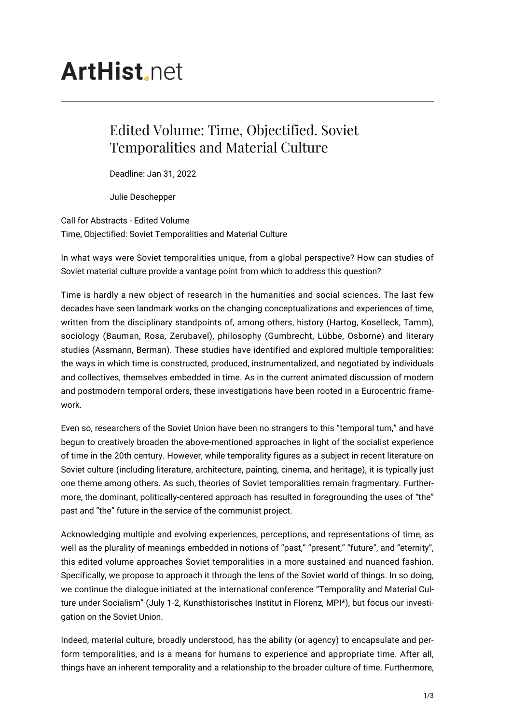## **ArtHist**, net

## Edited Volume: Time, Objectified. Soviet Temporalities and Material Culture

Deadline: Jan 31, 2022

Julie Deschepper

Call for Abstracts - Edited Volume Time, Objectified: Soviet Temporalities and Material Culture

In what ways were Soviet temporalities unique, from a global perspective? How can studies of Soviet material culture provide a vantage point from which to address this question?

Time is hardly a new object of research in the humanities and social sciences. The last few decades have seen landmark works on the changing conceptualizations and experiences of time, written from the disciplinary standpoints of, among others, history (Hartog, Koselleck, Tamm), sociology (Bauman, Rosa, Zerubavel), philosophy (Gumbrecht, Lübbe, Osborne) and literary studies (Assmann, Berman). These studies have identified and explored multiple temporalities: the ways in which time is constructed, produced, instrumentalized, and negotiated by individuals and collectives, themselves embedded in time. As in the current animated discussion of modern and postmodern temporal orders, these investigations have been rooted in a Eurocentric framework.

Even so, researchers of the Soviet Union have been no strangers to this "temporal turn," and have begun to creatively broaden the above-mentioned approaches in light of the socialist experience of time in the 20th century. However, while temporality figures as a subject in recent literature on Soviet culture (including literature, architecture, painting, cinema, and heritage), it is typically just one theme among others. As such, theories of Soviet temporalities remain fragmentary. Furthermore, the dominant, politically-centered approach has resulted in foregrounding the uses of "the" past and "the" future in the service of the communist project.

Acknowledging multiple and evolving experiences, perceptions, and representations of time, as well as the plurality of meanings embedded in notions of "past," "present," "future", and "eternity", this edited volume approaches Soviet temporalities in a more sustained and nuanced fashion. Specifically, we propose to approach it through the lens of the Soviet world of things. In so doing, we continue the dialogue initiated at the international conference "Temporality and Material Culture under Socialism" (July 1-2, Kunsthistorisches Institut in Florenz, MPI\*), but focus our investigation on the Soviet Union.

Indeed, material culture, broadly understood, has the ability (or agency) to encapsulate and perform temporalities, and is a means for humans to experience and appropriate time. After all, things have an inherent temporality and a relationship to the broader culture of time. Furthermore,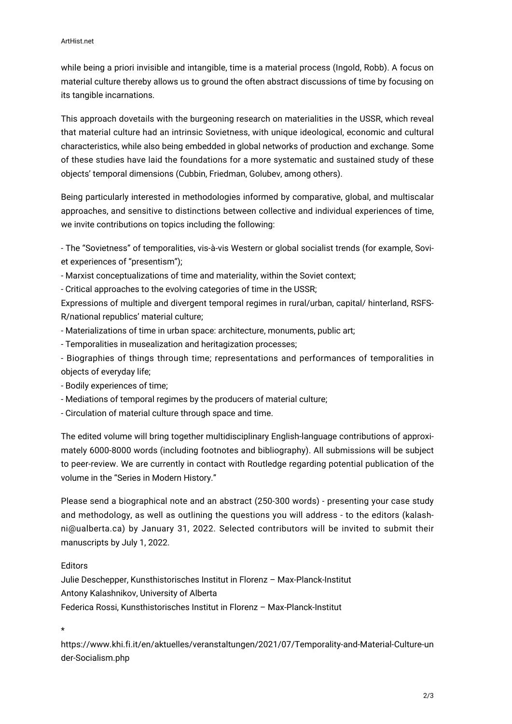while being a priori invisible and intangible, time is a material process (Ingold, Robb). A focus on material culture thereby allows us to ground the often abstract discussions of time by focusing on its tangible incarnations.

This approach dovetails with the burgeoning research on materialities in the USSR, which reveal that material culture had an intrinsic Sovietness, with unique ideological, economic and cultural characteristics, while also being embedded in global networks of production and exchange. Some of these studies have laid the foundations for a more systematic and sustained study of these objects' temporal dimensions (Cubbin, Friedman, Golubev, among others).

Being particularly interested in methodologies informed by comparative, global, and multiscalar approaches, and sensitive to distinctions between collective and individual experiences of time, we invite contributions on topics including the following:

- The "Sovietness" of temporalities, vis-à-vis Western or global socialist trends (for example, Soviet experiences of "presentism");

- Marxist conceptualizations of time and materiality, within the Soviet context;

- Critical approaches to the evolving categories of time in the USSR;

Expressions of multiple and divergent temporal regimes in rural/urban, capital/ hinterland, RSFS-R/national republics' material culture;

- Materializations of time in urban space: architecture, monuments, public art;
- Temporalities in musealization and heritagization processes;
- Biographies of things through time; representations and performances of temporalities in objects of everyday life;
- Bodily experiences of time;
- Mediations of temporal regimes by the producers of material culture;
- Circulation of material culture through space and time.

The edited volume will bring together multidisciplinary English-language contributions of approximately 6000-8000 words (including footnotes and bibliography). All submissions will be subject to peer-review. We are currently in contact with Routledge regarding potential publication of the volume in the "Series in Modern History."

Please send a biographical note and an abstract (250-300 words) - presenting your case study and methodology, as well as outlining the questions you will address - to the editors (kalashni@ualberta.ca) by January 31, 2022. Selected contributors will be invited to submit their manuscripts by July 1, 2022.

## Editors

Julie Deschepper, Kunsthistorisches Institut in Florenz – Max-Planck-Institut Antony Kalashnikov, University of Alberta Federica Rossi, Kunsthistorisches Institut in Florenz – Max-Planck-Institut

\*

https://www.khi.fi.it/en/aktuelles/veranstaltungen/2021/07/Temporality-and-Material-Culture-un der-Socialism.php